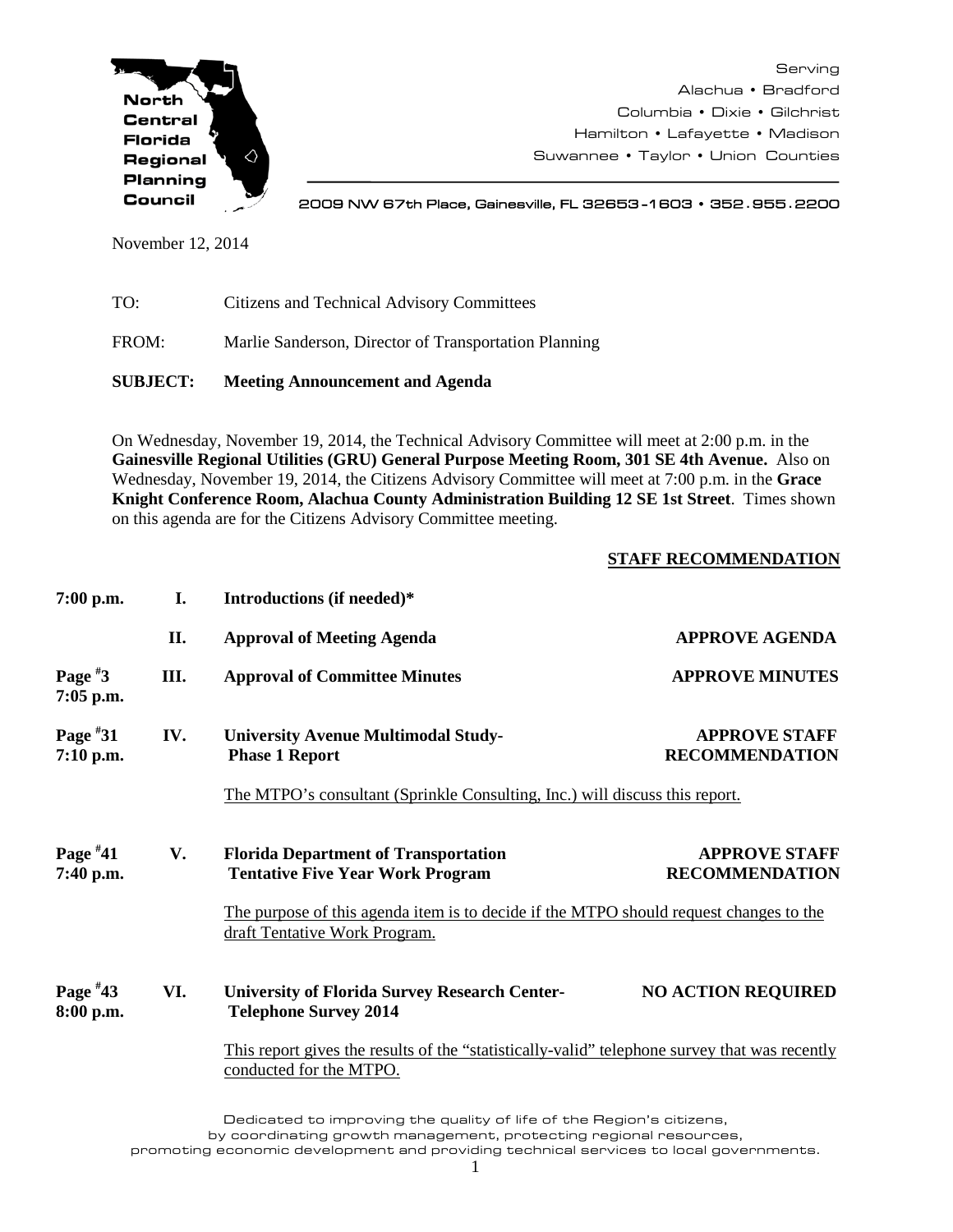

Serving Alachua • Bradford Columbia • Dixie • Gilchrist Hamilton • Lafayette • Madison Suwannee • Taylor • Union Counties

2009 NW 67th Place, Gainesville, FL 32653 -1603 • 352**.**955**.**2200

November 12, 2014

| <b>SUBJECT:</b> | <b>Meeting Announcement and Agenda</b>                |
|-----------------|-------------------------------------------------------|
| FROM:           | Marlie Sanderson, Director of Transportation Planning |
| TO:             | Citizens and Technical Advisory Committees            |

On Wednesday, November 19, 2014, the Technical Advisory Committee will meet at 2:00 p.m. in the **Gainesville Regional Utilities (GRU) General Purpose Meeting Room, 301 SE 4th Avenue.** Also on Wednesday, November 19, 2014, the Citizens Advisory Committee will meet at 7:00 p.m. in the **Grace Knight Conference Room, Alachua County Administration Building 12 SE 1st Street**. Times shown on this agenda are for the Citizens Advisory Committee meeting.

## **STAFF RECOMMENDATION**

| $7:00$ p.m.             | I.   | Introductions (if needed)*                                                                                               |                                                                                        |  |  |
|-------------------------|------|--------------------------------------------------------------------------------------------------------------------------|----------------------------------------------------------------------------------------|--|--|
|                         | II.  | <b>Approval of Meeting Agenda</b>                                                                                        | <b>APPROVE AGENDA</b>                                                                  |  |  |
| Page $*3$<br>7:05 p.m.  | III. | <b>Approval of Committee Minutes</b>                                                                                     | <b>APPROVE MINUTES</b>                                                                 |  |  |
| Page $*31$<br>7:10 p.m. | IV.  | <b>University Avenue Multimodal Study-</b><br><b>Phase 1 Report</b>                                                      | <b>APPROVE STAFF</b><br><b>RECOMMENDATION</b>                                          |  |  |
|                         |      | The MTPO's consultant (Sprinkle Consulting, Inc.) will discuss this report.                                              |                                                                                        |  |  |
| Page $*41$<br>7:40 p.m. | V.   | <b>Florida Department of Transportation</b><br><b>Tentative Five Year Work Program</b>                                   | <b>APPROVE STAFF</b><br><b>RECOMMENDATION</b>                                          |  |  |
|                         |      | draft Tentative Work Program.                                                                                            | The purpose of this agenda item is to decide if the MTPO should request changes to the |  |  |
| Page $*43$<br>8:00 p.m. | VI.  | <b>University of Florida Survey Research Center-</b><br><b>Telephone Survey 2014</b>                                     | <b>NO ACTION REQUIRED</b>                                                              |  |  |
|                         |      | This report gives the results of the "statistically-valid" telephone survey that was recently<br>conducted for the MTPO. |                                                                                        |  |  |